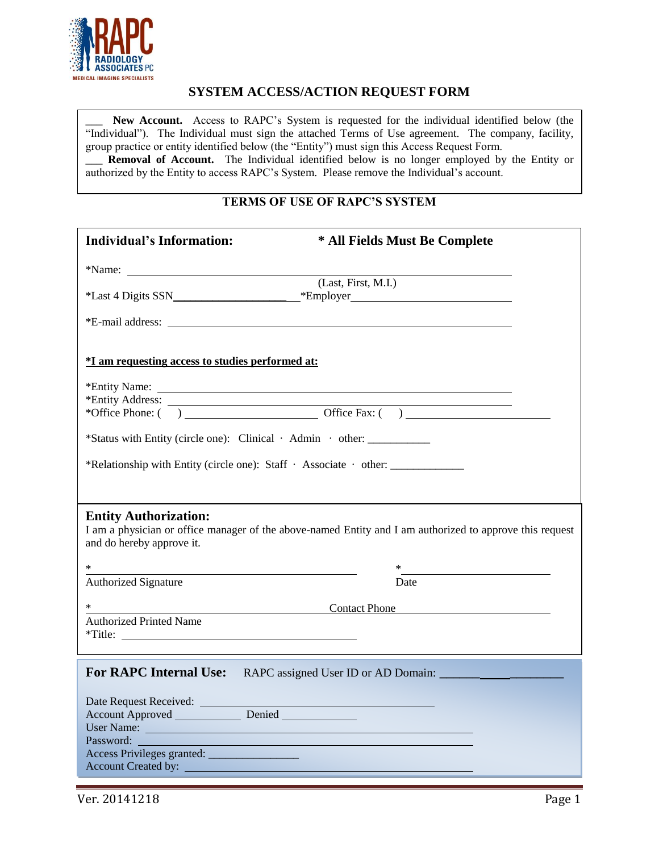

# **SYSTEM ACCESS/ACTION REQUEST FORM**

New Account. Access to RAPC's System is requested for the individual identified below (the "Individual"). The Individual must sign the attached Terms of Use agreement. The company, facility, group practice or entity identified below (the "Entity") must sign this Access Request Form. Removal of Account. The Individual identified below is no longer employed by the Entity or authorized by the Entity to access RAPC's System. Please remove the Individual's account.

## **TERMS OF USE OF RAPC'S SYSTEM**

| <b>Individual's Information:</b>                                                                                                                                                                                                            | * All Fields Must Be Complete |  |
|---------------------------------------------------------------------------------------------------------------------------------------------------------------------------------------------------------------------------------------------|-------------------------------|--|
|                                                                                                                                                                                                                                             |                               |  |
|                                                                                                                                                                                                                                             | (Last, First, M.I.)           |  |
|                                                                                                                                                                                                                                             |                               |  |
| <i>*I</i> am requesting access to studies performed at:                                                                                                                                                                                     |                               |  |
|                                                                                                                                                                                                                                             |                               |  |
|                                                                                                                                                                                                                                             |                               |  |
| *Status with Entity (circle one): Clinical · Admin · other: ____________                                                                                                                                                                    |                               |  |
| *Relationship with Entity (circle one): Staff · Associate · other:                                                                                                                                                                          |                               |  |
| <b>Entity Authorization:</b><br>I am a physician or office manager of the above-named Entity and I am authorized to approve this request<br>and do hereby approve it.                                                                       |                               |  |
| $\ast$<br><u> 1989 - Johann Stein, mars ann an Catharin ann an t-</u>                                                                                                                                                                       |                               |  |
| <b>Authorized Signature</b>                                                                                                                                                                                                                 | Date                          |  |
| $*$                                                                                                                                                                                                                                         | <b>Contact Phone</b>          |  |
| <b>Authorized Printed Name</b><br>*Title:                                                                                                                                                                                                   |                               |  |
| For RAPC Internal Use: RAPC assigned User ID or AD Domain:                                                                                                                                                                                  |                               |  |
| Date Request Received:<br>Account Approved Denied                                                                                                                                                                                           |                               |  |
| User Name: Name: Name: Name: Name: Name: Name: Name: Name: Name: Name: Name: Name: Name: Name: Name: Name: Name: Name: Name: Name: Name: Name: Name: Name: Name: Name: Name: Name: Name: Name: Name: Name: Name: Name: Name: N<br>Password: |                               |  |
| Account Created by:                                                                                                                                                                                                                         |                               |  |

Ver. 20141218 Page 1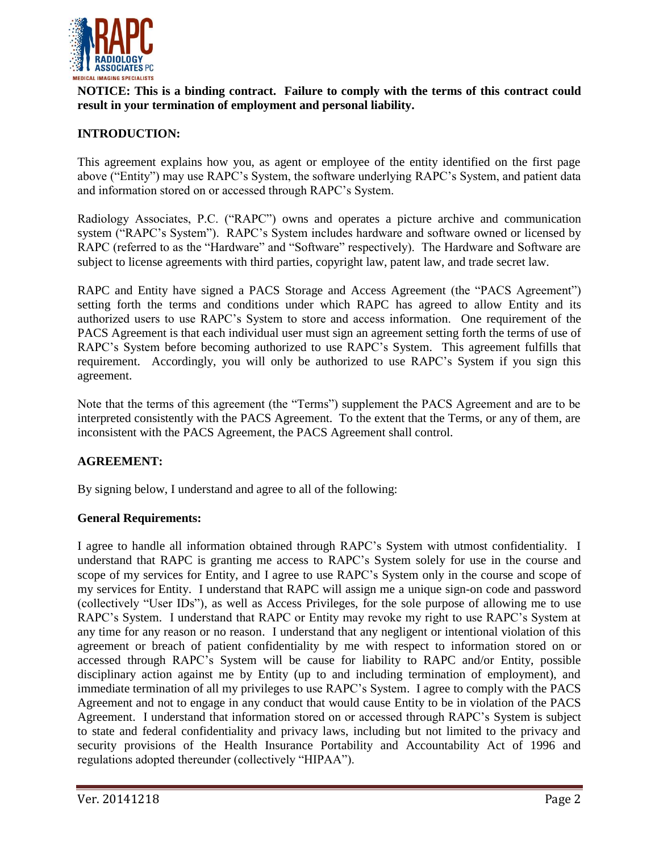

**NOTICE: This is a binding contract. Failure to comply with the terms of this contract could result in your termination of employment and personal liability.**

## **INTRODUCTION:**

This agreement explains how you, as agent or employee of the entity identified on the first page above ("Entity") may use RAPC's System, the software underlying RAPC's System, and patient data and information stored on or accessed through RAPC's System.

Radiology Associates, P.C. ("RAPC") owns and operates a picture archive and communication system ("RAPC's System"). RAPC's System includes hardware and software owned or licensed by RAPC (referred to as the "Hardware" and "Software" respectively). The Hardware and Software are subject to license agreements with third parties, copyright law, patent law, and trade secret law.

RAPC and Entity have signed a PACS Storage and Access Agreement (the "PACS Agreement") setting forth the terms and conditions under which RAPC has agreed to allow Entity and its authorized users to use RAPC's System to store and access information. One requirement of the PACS Agreement is that each individual user must sign an agreement setting forth the terms of use of RAPC's System before becoming authorized to use RAPC's System. This agreement fulfills that requirement. Accordingly, you will only be authorized to use RAPC's System if you sign this agreement.

Note that the terms of this agreement (the "Terms") supplement the PACS Agreement and are to be interpreted consistently with the PACS Agreement. To the extent that the Terms, or any of them, are inconsistent with the PACS Agreement, the PACS Agreement shall control.

# **AGREEMENT:**

By signing below, I understand and agree to all of the following:

### **General Requirements:**

I agree to handle all information obtained through RAPC's System with utmost confidentiality. I understand that RAPC is granting me access to RAPC's System solely for use in the course and scope of my services for Entity, and I agree to use RAPC's System only in the course and scope of my services for Entity. I understand that RAPC will assign me a unique sign-on code and password (collectively "User IDs"), as well as Access Privileges, for the sole purpose of allowing me to use RAPC's System. I understand that RAPC or Entity may revoke my right to use RAPC's System at any time for any reason or no reason. I understand that any negligent or intentional violation of this agreement or breach of patient confidentiality by me with respect to information stored on or accessed through RAPC's System will be cause for liability to RAPC and/or Entity, possible disciplinary action against me by Entity (up to and including termination of employment), and immediate termination of all my privileges to use RAPC's System. I agree to comply with the PACS Agreement and not to engage in any conduct that would cause Entity to be in violation of the PACS Agreement. I understand that information stored on or accessed through RAPC's System is subject to state and federal confidentiality and privacy laws, including but not limited to the privacy and security provisions of the Health Insurance Portability and Accountability Act of 1996 and regulations adopted thereunder (collectively "HIPAA").